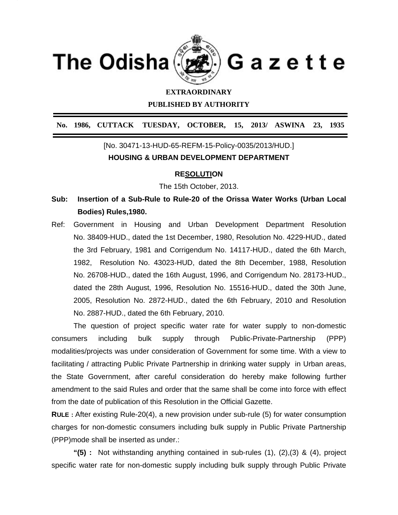

## **EXTRAORDINARY**

**PUBLISHED BY AUTHORITY** 

**No. 1986, CUTTACK TUESDAY, OCTOBER, 15, 2013/ ASWINA 23, 1935**

## [No. 30471-13-HUD-65-REFM-15-Policy-0035/2013/HUD.] **HOUSING & URBAN DEVELOPMENT DEPARTMENT**

## **RESOLUTION**

The 15th October, 2013.

- **Sub: Insertion of a Sub-Rule to Rule-20 of the Orissa Water Works (Urban Local Bodies) Rules,1980.**
- Ref: Government in Housing and Urban Development Department Resolution No. 38409-HUD., dated the 1st December, 1980, Resolution No. 4229-HUD., dated the 3rd February, 1981 and Corrigendum No. 14117-HUD., dated the 6th March, 1982, Resolution No. 43023-HUD, dated the 8th December, 1988, Resolution No. 26708-HUD., dated the 16th August, 1996, and Corrigendum No. 28173-HUD., dated the 28th August, 1996, Resolution No. 15516-HUD., dated the 30th June, 2005, Resolution No. 2872-HUD., dated the 6th February, 2010 and Resolution No. 2887-HUD., dated the 6th February, 2010.

 The question of project specific water rate for water supply to non-domestic consumers including bulk supply through Public-Private-Partnership (PPP) modalities/projects was under consideration of Government for some time. With a view to facilitating / attracting Public Private Partnership in drinking water supply in Urban areas, the State Government, after careful consideration do hereby make following further amendment to the said Rules and order that the same shall be come into force with effect from the date of publication of this Resolution in the Official Gazette.

**RULE :** After existing Rule-20(4), a new provision under sub-rule (5) for water consumption charges for non-domestic consumers including bulk supply in Public Private Partnership (PPP)mode shall be inserted as under.:

 **"(5) :** Not withstanding anything contained in sub-rules (1), (2),(3) & (4), project specific water rate for non-domestic supply including bulk supply through Public Private